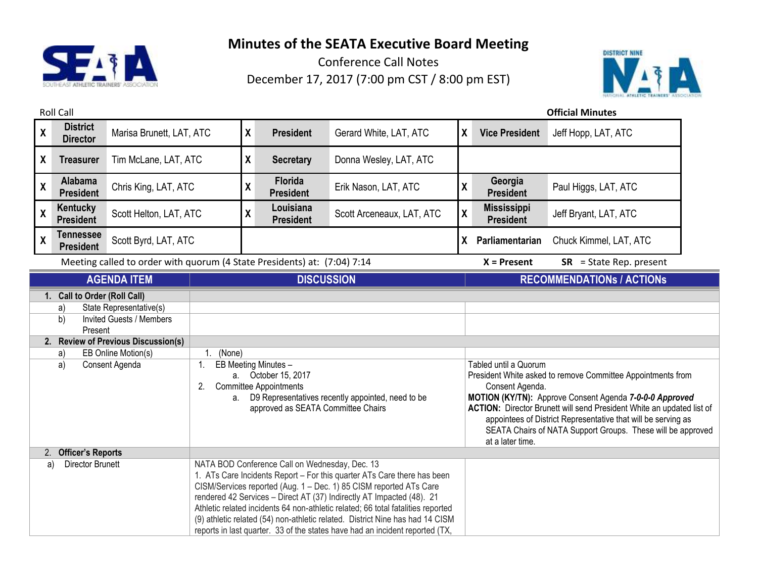

Conference Call Notes December 17, 2017 (7:00 pm CST / 8:00 pm EST)



Roll Call **Official Minutes X District Director** Marisa Brunett, LAT, ATC **<sup>X</sup> President** Gerard White, LAT, ATC **<sup>X</sup> Vice President** Jeff Hopp, LAT, ATC **X Treasurer** Tim McLane, LAT, ATC **X Secretary** Donna Wesley, LAT, ATC **X Alabama President** Chris King, LAT, ATC **<sup>X</sup> Florida President** Erik Nason, LAT, ATC **<sup>X</sup> Georgia President** Paul Higgs, LAT, ATC **X Kentucky President** Scott Helton, LAT, ATC **X Louisiana President** Scott Arceneaux, LAT, ATC **<sup>X</sup> Mississippi**  Jeff Bryant, LAT, ATC **X Tennessee President** Scott Byrd, LAT, ATC **<sup>X</sup> Parliamentarian** Chuck Kimmel, LAT, ATC Meeting called to order with quorum (4 State Presidents) at: (7:04) 7:14 **X = Present SR** = State Rep. present **AGENDA ITEM DISCUSSION RECOMMENDATIONs / ACTIONs 1. Call to Order (Roll Call)** a) State Representative(s) b) Invited Guests / Members Present **2. Review of Previous Discussion(s)** a) EB Online Motion(s) | 1. (None) a) Consent Agenda 1. EB Meeting Minutes – a. October 15, 2017 2. Committee Appointments a. D9 Representatives recently appointed, need to be approved as SEATA Committee Chairs Tabled until a Quorum President White asked to remove Committee Appointments from Consent Agenda. **MOTION (KY/TN):** Approve Consent Agenda *7-0-0-0 Approved* **ACTION:** Director Brunett will send President White an updated list of appointees of District Representative that will be serving as SEATA Chairs of NATA Support Groups. These will be approved at a later time. 2. **Officer's Reports** a) Director Brunett NATA BOD Conference Call on Wednesday, Dec. 13 1. ATs Care Incidents Report – For this quarter ATs Care there has been CISM/Services reported (Aug. 1 – Dec. 1) 85 CISM reported ATs Care rendered 42 Services – Direct AT (37) Indirectly AT Impacted (48). 21 Athletic related incidents 64 non-athletic related; 66 total fatalities reported

> (9) athletic related (54) non-athletic related. District Nine has had 14 CISM reports in last quarter. 33 of the states have had an incident reported (TX,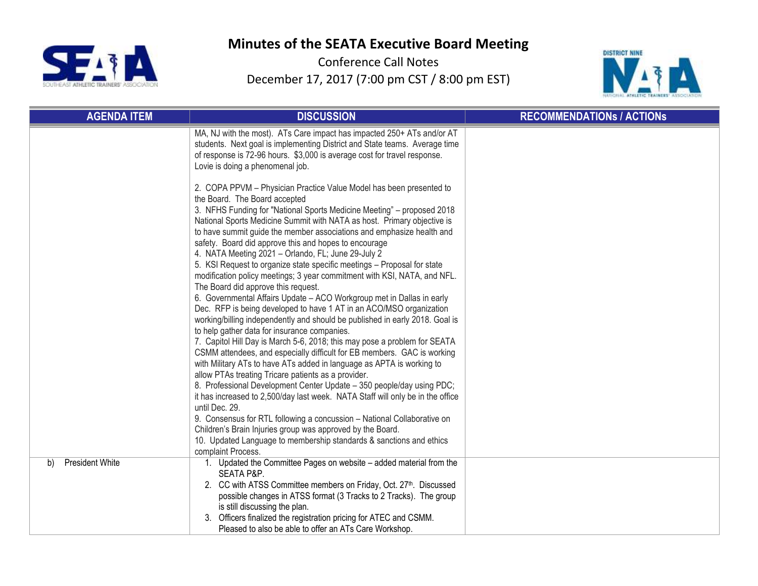



| <b>AGENDA ITEM</b>    | <b>DISCUSSION</b>                                                                                                                                                                                                                                                                                                                                                                                                                                                                                                                                                                                                                                                                                                                                                                                                                                                                                                                                                                                                                                                                                                                                                                                                                                                                                                                                                                  | <b>RECOMMENDATIONS / ACTIONS</b> |
|-----------------------|------------------------------------------------------------------------------------------------------------------------------------------------------------------------------------------------------------------------------------------------------------------------------------------------------------------------------------------------------------------------------------------------------------------------------------------------------------------------------------------------------------------------------------------------------------------------------------------------------------------------------------------------------------------------------------------------------------------------------------------------------------------------------------------------------------------------------------------------------------------------------------------------------------------------------------------------------------------------------------------------------------------------------------------------------------------------------------------------------------------------------------------------------------------------------------------------------------------------------------------------------------------------------------------------------------------------------------------------------------------------------------|----------------------------------|
|                       | MA, NJ with the most). ATs Care impact has impacted 250+ ATs and/or AT<br>students. Next goal is implementing District and State teams. Average time<br>of response is 72-96 hours. \$3,000 is average cost for travel response.<br>Lovie is doing a phenomenal job.                                                                                                                                                                                                                                                                                                                                                                                                                                                                                                                                                                                                                                                                                                                                                                                                                                                                                                                                                                                                                                                                                                               |                                  |
|                       | 2. COPA PPVM - Physician Practice Value Model has been presented to<br>the Board. The Board accepted<br>3. NFHS Funding for "National Sports Medicine Meeting" - proposed 2018<br>National Sports Medicine Summit with NATA as host. Primary objective is<br>to have summit guide the member associations and emphasize health and<br>safety. Board did approve this and hopes to encourage<br>4. NATA Meeting 2021 - Orlando, FL; June 29-July 2<br>5. KSI Request to organize state specific meetings - Proposal for state<br>modification policy meetings; 3 year commitment with KSI, NATA, and NFL.<br>The Board did approve this request.<br>6. Governmental Affairs Update - ACO Workgroup met in Dallas in early<br>Dec. RFP is being developed to have 1 AT in an ACO/MSO organization<br>working/billing independently and should be published in early 2018. Goal is<br>to help gather data for insurance companies.<br>7. Capitol Hill Day is March 5-6, 2018; this may pose a problem for SEATA<br>CSMM attendees, and especially difficult for EB members. GAC is working<br>with Military ATs to have ATs added in language as APTA is working to<br>allow PTAs treating Tricare patients as a provider.<br>8. Professional Development Center Update - 350 people/day using PDC;<br>it has increased to 2,500/day last week. NATA Staff will only be in the office |                                  |
|                       | until Dec. 29.<br>9. Consensus for RTL following a concussion - National Collaborative on<br>Children's Brain Injuries group was approved by the Board.<br>10. Updated Language to membership standards & sanctions and ethics<br>complaint Process.                                                                                                                                                                                                                                                                                                                                                                                                                                                                                                                                                                                                                                                                                                                                                                                                                                                                                                                                                                                                                                                                                                                               |                                  |
| President White<br>b) | 1. Updated the Committee Pages on website – added material from the<br>SEATA P&P.<br>2. CC with ATSS Committee members on Friday, Oct. 27th. Discussed<br>possible changes in ATSS format (3 Tracks to 2 Tracks). The group<br>is still discussing the plan.<br>3. Officers finalized the registration pricing for ATEC and CSMM.<br>Pleased to also be able to offer an ATs Care Workshop.                                                                                                                                                                                                                                                                                                                                                                                                                                                                                                                                                                                                                                                                                                                                                                                                                                                                                                                                                                                        |                                  |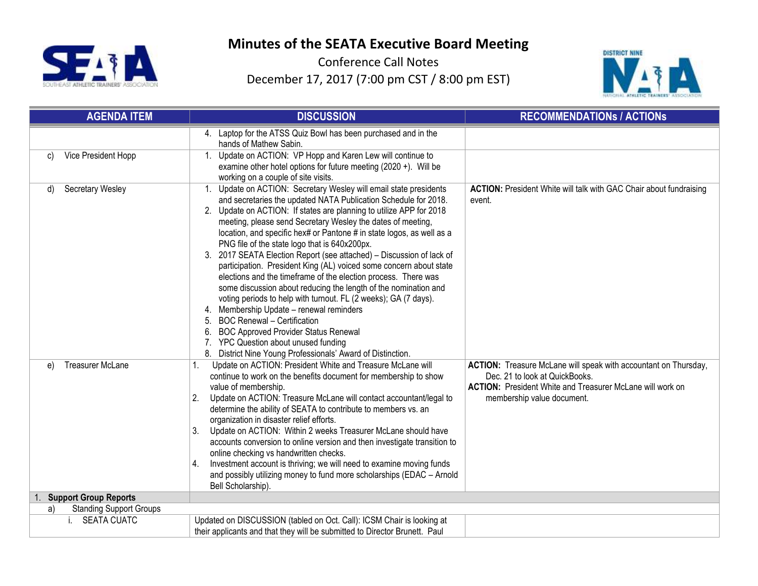



| <b>AGENDA ITEM</b>                   | <b>DISCUSSION</b>                                                                                                                                                                                                                                                                                                                                                                                                                                                                                                                                                                                                                                                                                                                                                                                                                                                                                                                                                                                           | <b>RECOMMENDATIONS / ACTIONS</b>                                                                                                                                                                    |
|--------------------------------------|-------------------------------------------------------------------------------------------------------------------------------------------------------------------------------------------------------------------------------------------------------------------------------------------------------------------------------------------------------------------------------------------------------------------------------------------------------------------------------------------------------------------------------------------------------------------------------------------------------------------------------------------------------------------------------------------------------------------------------------------------------------------------------------------------------------------------------------------------------------------------------------------------------------------------------------------------------------------------------------------------------------|-----------------------------------------------------------------------------------------------------------------------------------------------------------------------------------------------------|
|                                      | 4. Laptop for the ATSS Quiz Bowl has been purchased and in the<br>hands of Mathew Sabin.                                                                                                                                                                                                                                                                                                                                                                                                                                                                                                                                                                                                                                                                                                                                                                                                                                                                                                                    |                                                                                                                                                                                                     |
| Vice President Hopp<br>C)            | Update on ACTION: VP Hopp and Karen Lew will continue to<br>1.<br>examine other hotel options for future meeting $(2020 +)$ . Will be<br>working on a couple of site visits.                                                                                                                                                                                                                                                                                                                                                                                                                                                                                                                                                                                                                                                                                                                                                                                                                                |                                                                                                                                                                                                     |
| Secretary Wesley<br>d)               | Update on ACTION: Secretary Wesley will email state presidents<br>1.<br>and secretaries the updated NATA Publication Schedule for 2018.<br>2. Update on ACTION: If states are planning to utilize APP for 2018<br>meeting, please send Secretary Wesley the dates of meeting,<br>location, and specific hex# or Pantone # in state logos, as well as a<br>PNG file of the state logo that is 640x200px.<br>3. 2017 SEATA Election Report (see attached) - Discussion of lack of<br>participation. President King (AL) voiced some concern about state<br>elections and the timeframe of the election process. There was<br>some discussion about reducing the length of the nomination and<br>voting periods to help with turnout. FL (2 weeks); GA (7 days).<br>4. Membership Update - renewal reminders<br><b>BOC Renewal - Certification</b><br><b>BOC Approved Provider Status Renewal</b><br>6.<br>7. YPC Question about unused funding<br>8. District Nine Young Professionals' Award of Distinction. | <b>ACTION:</b> President White will talk with GAC Chair about fundraising<br>event.                                                                                                                 |
| <b>Treasurer McLane</b><br>e)        | Update on ACTION: President White and Treasure McLane will<br>1.<br>continue to work on the benefits document for membership to show<br>value of membership.<br>Update on ACTION: Treasure McLane will contact accountant/legal to<br>2.<br>determine the ability of SEATA to contribute to members vs. an<br>organization in disaster relief efforts.<br>Update on ACTION: Within 2 weeks Treasurer McLane should have<br>3.<br>accounts conversion to online version and then investigate transition to<br>online checking vs handwritten checks.<br>Investment account is thriving; we will need to examine moving funds<br>4.<br>and possibly utilizing money to fund more scholarships (EDAC - Arnold<br>Bell Scholarship).                                                                                                                                                                                                                                                                            | ACTION: Treasure McLane will speak with accountant on Thursday,<br>Dec. 21 to look at QuickBooks.<br><b>ACTION:</b> President White and Treasurer McLane will work on<br>membership value document. |
| 1. Support Group Reports             |                                                                                                                                                                                                                                                                                                                                                                                                                                                                                                                                                                                                                                                                                                                                                                                                                                                                                                                                                                                                             |                                                                                                                                                                                                     |
| <b>Standing Support Groups</b><br>a) |                                                                                                                                                                                                                                                                                                                                                                                                                                                                                                                                                                                                                                                                                                                                                                                                                                                                                                                                                                                                             |                                                                                                                                                                                                     |
| <b>SEATA CUATC</b>                   | Updated on DISCUSSION (tabled on Oct. Call): ICSM Chair is looking at<br>their applicants and that they will be submitted to Director Brunett. Paul                                                                                                                                                                                                                                                                                                                                                                                                                                                                                                                                                                                                                                                                                                                                                                                                                                                         |                                                                                                                                                                                                     |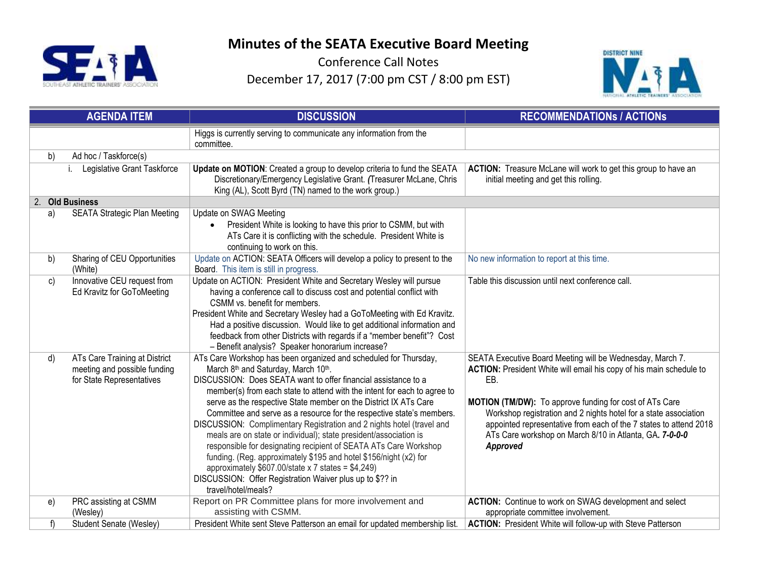



|    | <b>AGENDA ITEM</b>                                                                         | <b>DISCUSSION</b>                                                                                                                                                                                                                                                                                                                                                                                                                                                                                                                                                                                                                                                                                                                                                                                                                                             | <b>RECOMMENDATIONS / ACTIONS</b>                                                                                                                                                                                                                                                                                                                                                                                   |
|----|--------------------------------------------------------------------------------------------|---------------------------------------------------------------------------------------------------------------------------------------------------------------------------------------------------------------------------------------------------------------------------------------------------------------------------------------------------------------------------------------------------------------------------------------------------------------------------------------------------------------------------------------------------------------------------------------------------------------------------------------------------------------------------------------------------------------------------------------------------------------------------------------------------------------------------------------------------------------|--------------------------------------------------------------------------------------------------------------------------------------------------------------------------------------------------------------------------------------------------------------------------------------------------------------------------------------------------------------------------------------------------------------------|
|    |                                                                                            | Higgs is currently serving to communicate any information from the<br>committee.                                                                                                                                                                                                                                                                                                                                                                                                                                                                                                                                                                                                                                                                                                                                                                              |                                                                                                                                                                                                                                                                                                                                                                                                                    |
| b) | Ad hoc / Taskforce(s)                                                                      |                                                                                                                                                                                                                                                                                                                                                                                                                                                                                                                                                                                                                                                                                                                                                                                                                                                               |                                                                                                                                                                                                                                                                                                                                                                                                                    |
|    | Legislative Grant Taskforce                                                                | Update on MOTION: Created a group to develop criteria to fund the SEATA<br>Discretionary/Emergency Legislative Grant. (Treasurer McLane, Chris<br>King (AL), Scott Byrd (TN) named to the work group.)                                                                                                                                                                                                                                                                                                                                                                                                                                                                                                                                                                                                                                                        | ACTION: Treasure McLane will work to get this group to have an<br>initial meeting and get this rolling.                                                                                                                                                                                                                                                                                                            |
|    | 2. Old Business                                                                            |                                                                                                                                                                                                                                                                                                                                                                                                                                                                                                                                                                                                                                                                                                                                                                                                                                                               |                                                                                                                                                                                                                                                                                                                                                                                                                    |
| a) | <b>SEATA Strategic Plan Meeting</b>                                                        | Update on SWAG Meeting<br>President White is looking to have this prior to CSMM, but with<br>ATs Care it is conflicting with the schedule. President White is<br>continuing to work on this.                                                                                                                                                                                                                                                                                                                                                                                                                                                                                                                                                                                                                                                                  |                                                                                                                                                                                                                                                                                                                                                                                                                    |
| b) | Sharing of CEU Opportunities<br>(White)                                                    | Update on ACTION: SEATA Officers will develop a policy to present to the<br>Board. This item is still in progress.                                                                                                                                                                                                                                                                                                                                                                                                                                                                                                                                                                                                                                                                                                                                            | No new information to report at this time.                                                                                                                                                                                                                                                                                                                                                                         |
| c) | Innovative CEU request from<br>Ed Kravitz for GoToMeeting                                  | Update on ACTION: President White and Secretary Wesley will pursue<br>having a conference call to discuss cost and potential conflict with<br>CSMM vs. benefit for members.<br>President White and Secretary Wesley had a GoToMeeting with Ed Kravitz.<br>Had a positive discussion. Would like to get additional information and<br>feedback from other Districts with regards if a "member benefit"? Cost<br>- Benefit analysis? Speaker honorarium increase?                                                                                                                                                                                                                                                                                                                                                                                               | Table this discussion until next conference call.                                                                                                                                                                                                                                                                                                                                                                  |
| d) | ATs Care Training at District<br>meeting and possible funding<br>for State Representatives | ATs Care Workshop has been organized and scheduled for Thursday,<br>March 8 <sup>th</sup> and Saturday, March 10 <sup>th</sup> .<br>DISCUSSION: Does SEATA want to offer financial assistance to a<br>member(s) from each state to attend with the intent for each to agree to<br>serve as the respective State member on the District IX ATs Care<br>Committee and serve as a resource for the respective state's members.<br>DISCUSSION: Complimentary Registration and 2 nights hotel (travel and<br>meals are on state or individual); state president/association is<br>responsible for designating recipient of SEATA ATs Care Workshop<br>funding. (Reg. approximately \$195 and hotel \$156/night (x2) for<br>approximately $$607.00$ /state x 7 states = \$4,249)<br>DISCUSSION: Offer Registration Waiver plus up to \$?? in<br>travel/hotel/meals? | SEATA Executive Board Meeting will be Wednesday, March 7.<br>ACTION: President White will email his copy of his main schedule to<br>EB.<br>MOTION (TM/DW): To approve funding for cost of ATs Care<br>Workshop registration and 2 nights hotel for a state association<br>appointed representative from each of the 7 states to attend 2018<br>ATs Care workshop on March 8/10 in Atlanta, GA. 7-0-0-0<br>Approved |
| e) | PRC assisting at CSMM<br>(Wesley)                                                          | Report on PR Committee plans for more involvement and<br>assisting with CSMM.                                                                                                                                                                                                                                                                                                                                                                                                                                                                                                                                                                                                                                                                                                                                                                                 | ACTION: Continue to work on SWAG development and select<br>appropriate committee involvement.                                                                                                                                                                                                                                                                                                                      |
| f) | Student Senate (Wesley)                                                                    | President White sent Steve Patterson an email for updated membership list.                                                                                                                                                                                                                                                                                                                                                                                                                                                                                                                                                                                                                                                                                                                                                                                    | ACTION: President White will follow-up with Steve Patterson                                                                                                                                                                                                                                                                                                                                                        |